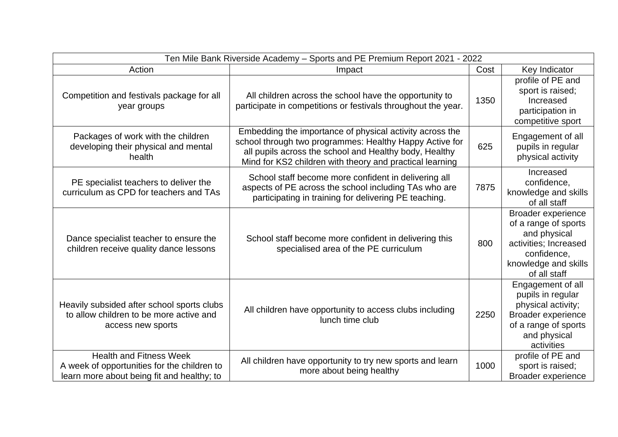| Ten Mile Bank Riverside Academy - Sports and PE Premium Report 2021 - 2022                                                  |                                                                                                                                                                                                                                           |      |                                                                                                                                                   |  |
|-----------------------------------------------------------------------------------------------------------------------------|-------------------------------------------------------------------------------------------------------------------------------------------------------------------------------------------------------------------------------------------|------|---------------------------------------------------------------------------------------------------------------------------------------------------|--|
| Action                                                                                                                      | Impact                                                                                                                                                                                                                                    | Cost | Key Indicator                                                                                                                                     |  |
| Competition and festivals package for all<br>year groups                                                                    | All children across the school have the opportunity to<br>participate in competitions or festivals throughout the year.                                                                                                                   | 1350 | profile of PE and<br>sport is raised;<br>Increased<br>participation in<br>competitive sport                                                       |  |
| Packages of work with the children<br>developing their physical and mental<br>health                                        | Embedding the importance of physical activity across the<br>school through two programmes: Healthy Happy Active for<br>all pupils across the school and Healthy body, Healthy<br>Mind for KS2 children with theory and practical learning | 625  | Engagement of all<br>pupils in regular<br>physical activity                                                                                       |  |
| PE specialist teachers to deliver the<br>curriculum as CPD for teachers and TAs                                             | School staff become more confident in delivering all<br>aspects of PE across the school including TAs who are<br>participating in training for delivering PE teaching.                                                                    | 7875 | Increased<br>confidence,<br>knowledge and skills<br>of all staff                                                                                  |  |
| Dance specialist teacher to ensure the<br>children receive quality dance lessons                                            | School staff become more confident in delivering this<br>specialised area of the PE curriculum                                                                                                                                            | 800  | <b>Broader experience</b><br>of a range of sports<br>and physical<br>activities; Increased<br>confidence,<br>knowledge and skills<br>of all staff |  |
| Heavily subsided after school sports clubs<br>to allow children to be more active and<br>access new sports                  | All children have opportunity to access clubs including<br>lunch time club                                                                                                                                                                | 2250 | Engagement of all<br>pupils in regular<br>physical activity;<br><b>Broader experience</b><br>of a range of sports<br>and physical<br>activities   |  |
| <b>Health and Fitness Week</b><br>A week of opportunities for the children to<br>learn more about being fit and healthy; to | All children have opportunity to try new sports and learn<br>more about being healthy                                                                                                                                                     | 1000 | profile of PE and<br>sport is raised;<br><b>Broader experience</b>                                                                                |  |